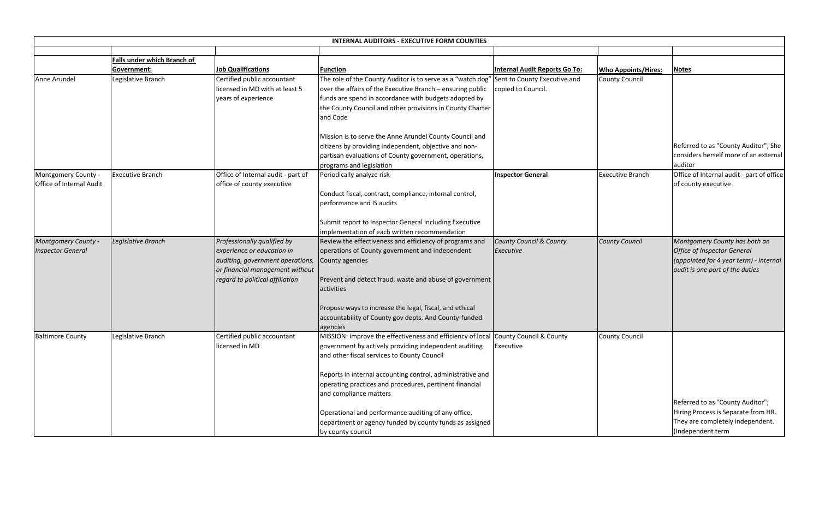|                                                 | <b>INTERNAL AUDITORS - EXECUTIVE FORM COUNTIES</b> |                                                                                                                                                                     |                                                                                                                                                                                                                                                                                                                     |                                                    |                            |                                         |  |  |
|-------------------------------------------------|----------------------------------------------------|---------------------------------------------------------------------------------------------------------------------------------------------------------------------|---------------------------------------------------------------------------------------------------------------------------------------------------------------------------------------------------------------------------------------------------------------------------------------------------------------------|----------------------------------------------------|----------------------------|-----------------------------------------|--|--|
|                                                 | Falls under which Branch of                        |                                                                                                                                                                     |                                                                                                                                                                                                                                                                                                                     |                                                    |                            |                                         |  |  |
|                                                 | Government:                                        | <b>Job Qualifications</b>                                                                                                                                           | <b>Function</b>                                                                                                                                                                                                                                                                                                     | <b>Internal Audit Reports Go To:</b>               | <b>Who Appoints/Hires:</b> | Notes                                   |  |  |
| Anne Arundel                                    | Legislative Branch                                 | Certified public accountant<br>licensed in MD with at least 5<br>years of experience                                                                                | The role of the County Auditor is to serve as a "watch dog"<br>over the affairs of the Executive Branch - ensuring public<br>funds are spend in accordance with budgets adopted by<br>the County Council and other provisions in County Charter<br>and Code                                                         | Sent to County Executive and<br>copied to Council. | <b>County Council</b>      |                                         |  |  |
|                                                 |                                                    |                                                                                                                                                                     | Mission is to serve the Anne Arundel County Council and<br>citizens by providing independent, objective and non-<br>partisan evaluations of County government, operations,<br>programs and legislation                                                                                                              |                                                    |                            | Refer<br>consid<br>audito               |  |  |
| Montgomery County -<br>Office of Internal Audit | <b>Executive Branch</b>                            | Office of Internal audit - part of<br>office of county executive                                                                                                    | Periodically analyze risk<br>Conduct fiscal, contract, compliance, internal control,<br>performance and IS audits                                                                                                                                                                                                   | <b>Inspector General</b>                           | <b>Executive Branch</b>    | Office<br>of cou                        |  |  |
|                                                 |                                                    |                                                                                                                                                                     | Submit report to Inspector General including Executive<br>implementation of each written recommendation                                                                                                                                                                                                             |                                                    |                            |                                         |  |  |
| Montgomery County -<br><b>Inspector General</b> | Legislative Branch                                 | Professionally qualified by<br>experience or education in<br>auditing, government operations,<br>or financial management without<br>regard to political affiliation | Review the effectiveness and efficiency of programs and<br>operations of County government and independent<br>County agencies<br>Prevent and detect fraud, waste and abuse of government<br>activities                                                                                                              | <b>County Council &amp; County</b><br>Executive    | <b>County Council</b>      | Mont<br><b>Office</b><br>(appo<br>audit |  |  |
|                                                 |                                                    |                                                                                                                                                                     | Propose ways to increase the legal, fiscal, and ethical<br>accountability of County gov depts. And County-funded<br>agencies                                                                                                                                                                                        |                                                    |                            |                                         |  |  |
| <b>Baltimore County</b>                         | Legislative Branch                                 | Certified public accountant<br>licensed in MD                                                                                                                       | MISSION: improve the effectiveness and efficiency of local County Council & County<br>government by actively providing independent auditing<br>and other fiscal services to County Council<br>Reports in internal accounting control, administrative and<br>operating practices and procedures, pertinent financial | Executive                                          | <b>County Council</b>      |                                         |  |  |
|                                                 |                                                    |                                                                                                                                                                     | and compliance matters<br>Operational and performance auditing of any office,<br>department or agency funded by county funds as assigned<br>by county council                                                                                                                                                       |                                                    |                            | Refer<br>Hiring<br>They a<br>(Indep     |  |  |

| <b>Internal Audit Reports Go To:</b>               | <b>Who Appoints/Hires:</b> | <b>Notes</b>                                                                                                                                     |
|----------------------------------------------------|----------------------------|--------------------------------------------------------------------------------------------------------------------------------------------------|
| Sent to County Executive and<br>copied to Council. | <b>County Council</b>      |                                                                                                                                                  |
|                                                    |                            | Referred to as "County Auditor"; She<br>considers herself more of an external<br>auditor                                                         |
| <b>Inspector General</b>                           | <b>Executive Branch</b>    | Office of Internal audit - part of office<br>of county executive                                                                                 |
| County Council & County<br><b>Executive</b>        | <b>County Council</b>      | Montgomery County has both an<br><b>Office of Inspector General</b><br>(appointed for 4 year term) - internal<br>audit is one part of the duties |
| County Council & County<br>Executive               | <b>County Council</b>      | Referred to as "County Auditor";<br>Hiring Process is Separate from HR.<br>They are completely independent.<br>(Independent term                 |